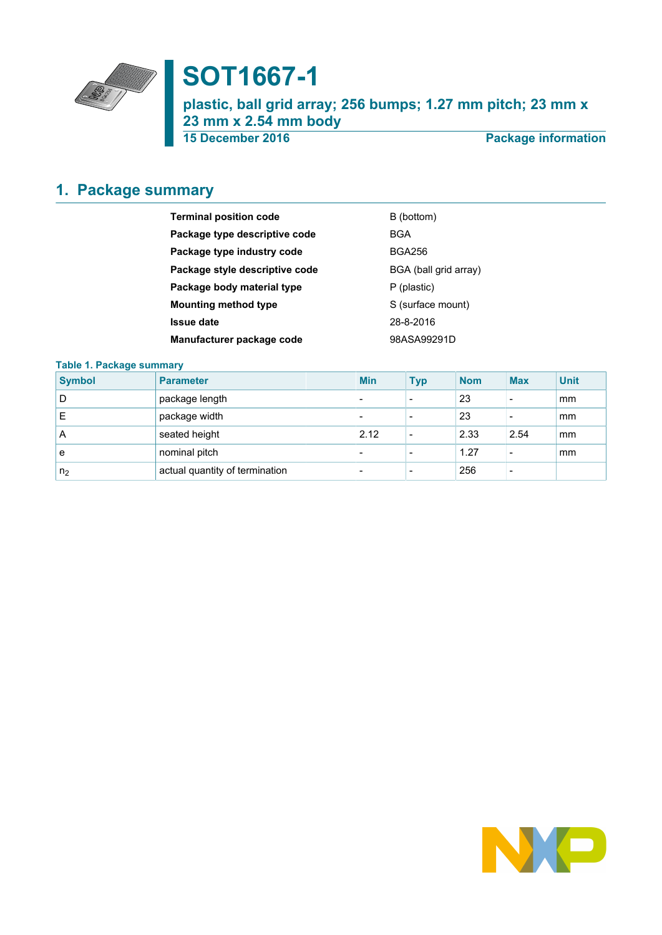

# **SOT1667-1**

**plastic, ball grid array; 256 bumps; 1.27 mm pitch; 23 mm x 23 mm x 2.54 mm body**

**15 December 2016 Package information**

# <span id="page-0-0"></span>**1. Package summary**

| <b>Terminal position code</b>  | B (bottom)            |
|--------------------------------|-----------------------|
| Package type descriptive code  | BGA                   |
| Package type industry code     | <b>BGA256</b>         |
| Package style descriptive code | BGA (ball grid array) |
| Package body material type     | P (plastic)           |
| <b>Mounting method type</b>    | S (surface mount)     |
| <b>Issue date</b>              | 28-8-2016             |
| Manufacturer package code      | 98ASA99291D           |

### **Table 1. Package summary**

| <b>Symbol</b>  | <b>Parameter</b>               | <b>Min</b>               | <b>Typ</b>               | <b>Nom</b> | <b>Max</b>               | <b>Unit</b> |
|----------------|--------------------------------|--------------------------|--------------------------|------------|--------------------------|-------------|
| D              | package length                 | $\overline{\phantom{0}}$ | $\overline{\phantom{0}}$ | 23         | $\overline{\phantom{a}}$ | mm          |
| Е              | package width                  | $\overline{\phantom{0}}$ | $\overline{\phantom{0}}$ | 23         | $\overline{\phantom{a}}$ | mm          |
| A              | seated height                  | 2.12                     | $\overline{\phantom{a}}$ | 2.33       | 2.54                     | mm          |
| e              | nominal pitch                  | $\overline{\phantom{0}}$ | $\overline{\phantom{a}}$ | 1.27       | $\overline{\phantom{a}}$ | mm          |
| n <sub>2</sub> | actual quantity of termination | $\overline{\phantom{0}}$ | $\overline{\phantom{0}}$ | 256        | $\overline{\phantom{0}}$ |             |

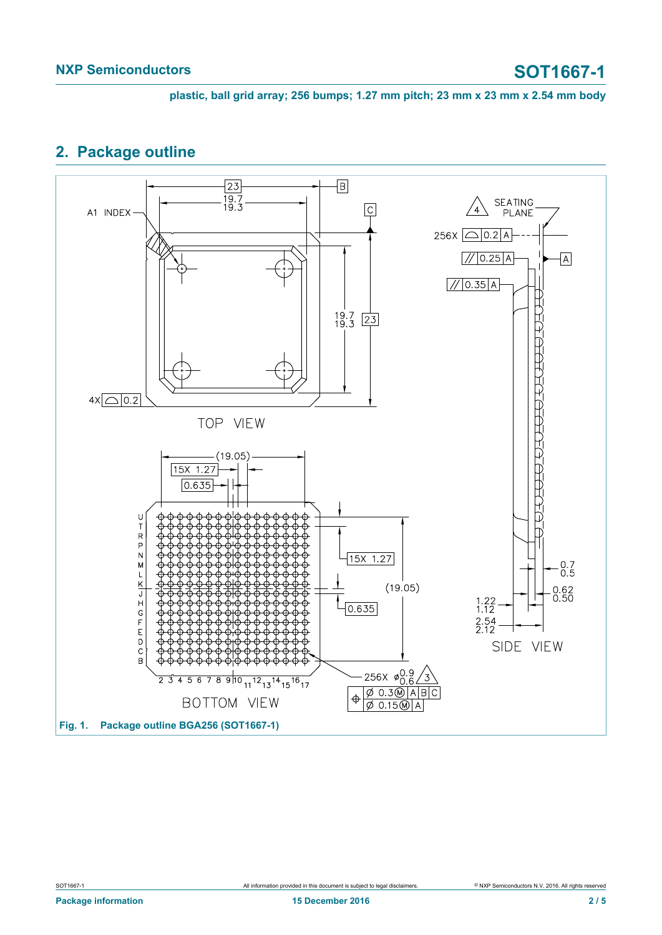**plastic, ball grid array; 256 bumps; 1.27 mm pitch; 23 mm x 23 mm x 2.54 mm body**

### <span id="page-1-0"></span>**2. Package outline**

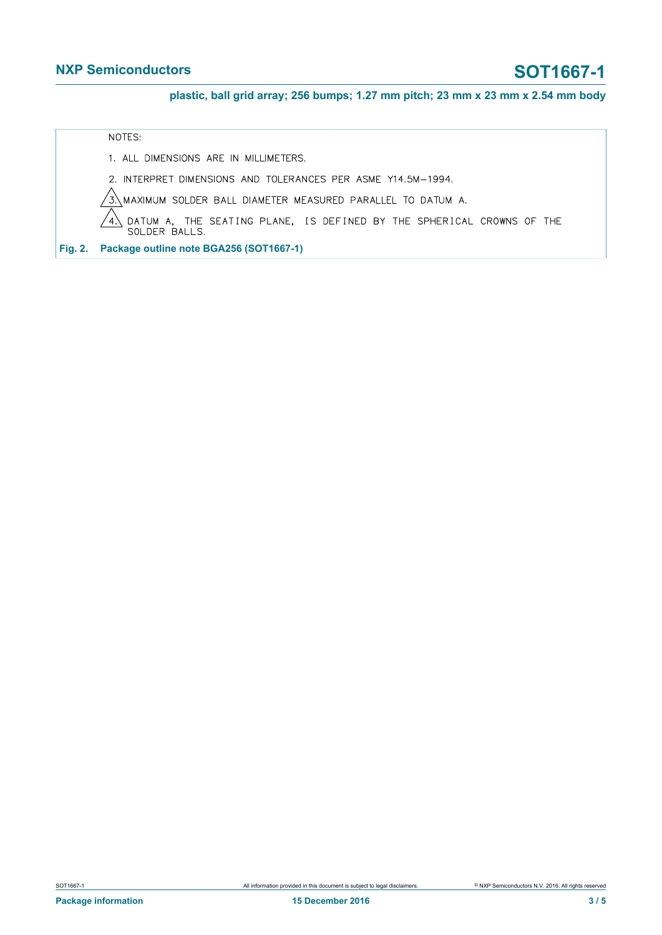### **NXP Semiconductors SOT1667-1**

**plastic, ball grid array; 256 bumps; 1.27 mm pitch; 23 mm x 23 mm x 2.54 mm body**

NOTES:

1. ALL DIMENSIONS ARE IN MILLIMETERS.

2. INTERPRET DIMENSIONS AND TOLERANCES PER ASME Y14.5M-1994.

MAXIMUM SOLDER BALL DIAMETER MEASURED PARALLEL TO DATUM A.  $\sqrt{3}$ 

DATUM A, THE SEATING PLANE, IS DEFINED BY THE SPHERICAL CROWNS OF THE SOLDER BALLS.  $^{\prime}$  4

**Fig. 2. Package outline note BGA256 (SOT1667-1)**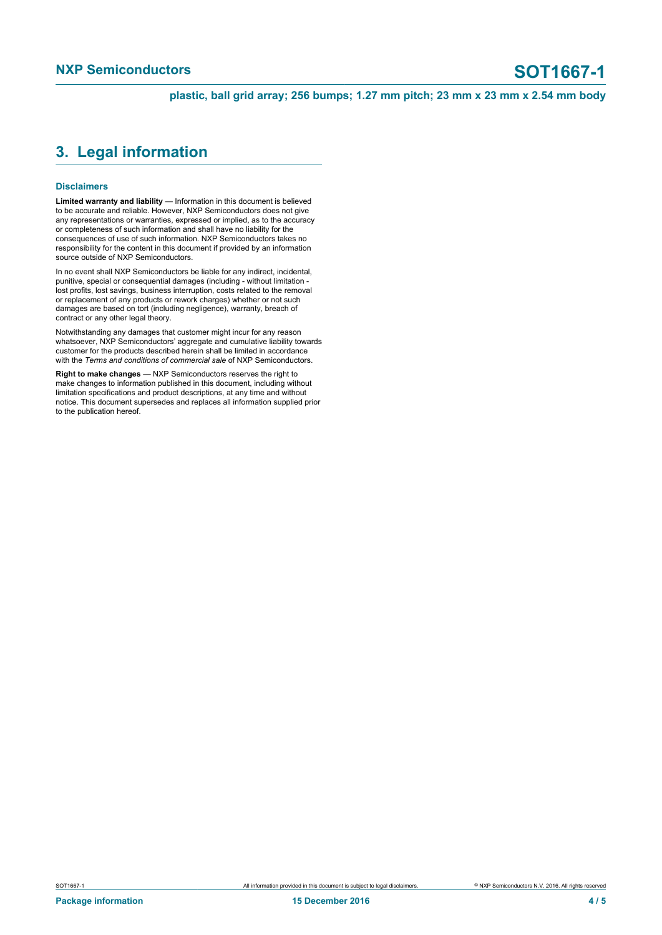**plastic, ball grid array; 256 bumps; 1.27 mm pitch; 23 mm x 23 mm x 2.54 mm body**

### <span id="page-3-0"></span>**3. Legal information**

### **Disclaimers**

**Limited warranty and liability** — Information in this document is believed to be accurate and reliable. However, NXP Semiconductors does not give any representations or warranties, expressed or implied, as to the accuracy or completeness of such information and shall have no liability for the consequences of use of such information. NXP Semiconductors takes no responsibility for the content in this document if provided by an information source outside of NXP Semiconductors.

In no event shall NXP Semiconductors be liable for any indirect, incidental, punitive, special or consequential damages (including - without limitation lost profits, lost savings, business interruption, costs related to the removal or replacement of any products or rework charges) whether or not such damages are based on tort (including negligence), warranty, breach of contract or any other legal theory.

Notwithstanding any damages that customer might incur for any reason whatsoever, NXP Semiconductors' aggregate and cumulative liability towards customer for the products described herein shall be limited in accordance with the *Terms and conditions of commercial sale* of NXP Semiconductors.

**Right to make changes** — NXP Semiconductors reserves the right to make changes to information published in this document, including without limitation specifications and product descriptions, at any time and without notice. This document supersedes and replaces all information supplied prior to the publication hereof.